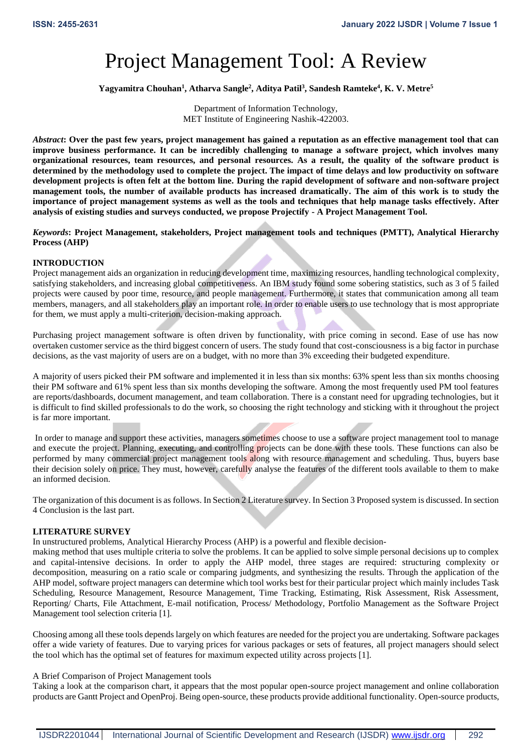# Project Management Tool: A Review

**Yagyamitra Chouhan<sup>1</sup> , Atharva Sangle<sup>2</sup> , Aditya Patil<sup>3</sup> , Sandesh Ramteke<sup>4</sup> , K. V. Metre<sup>5</sup>**

Department of Information Technology, MET Institute of Engineering Nashik-422003.

*Abstract***: Over the past few years, project management has gained a reputation as an effective management tool that can improve business performance. It can be incredibly challenging to manage a software project, which involves many organizational resources, team resources, and personal resources. As a result, the quality of the software product is determined by the methodology used to complete the project. The impact of time delays and low productivity on software development projects is often felt at the bottom line. During the rapid development of software and non-software project management tools, the number of available products has increased dramatically. The aim of this work is to study the importance of project management systems as well as the tools and techniques that help manage tasks effectively. After analysis of existing studies and surveys conducted, we propose Projectify - A Project Management Tool.**

*Keywords***: Project Management, stakeholders, Project management tools and techniques (PMTT), Analytical Hierarchy Process (AHP)**

#### **INTRODUCTION**

Project management aids an organization in reducing development time, maximizing resources, handling technological complexity, satisfying stakeholders, and increasing global competitiveness. An IBM study found some sobering statistics, such as 3 of 5 failed projects were caused by poor time, resource, and people management. Furthermore, it states that communication among all team members, managers, and all stakeholders play an important role. In order to enable users to use technology that is most appropriate for them, we must apply a multi-criterion, decision-making approach.

Purchasing project management software is often driven by functionality, with price coming in second. Ease of use has now overtaken customer service as the third biggest concern of users. The study found that cost-consciousness is a big factor in purchase decisions, as the vast majority of users are on a budget, with no more than 3% exceeding their budgeted expenditure.

A majority of users picked their PM software and implemented it in less than six months: 63% spent less than six months choosing their PM software and 61% spent less than six months developing the software. Among the most frequently used PM tool features are reports/dashboards, document management, and team collaboration. There is a constant need for upgrading technologies, but it is difficult to find skilled professionals to do the work, so choosing the right technology and sticking with it throughout the project is far more important.

In order to manage and support these activities, managers sometimes choose to use a software project management tool to manage and execute the project. Planning, executing, and controlling projects can be done with these tools. These functions can also be performed by many commercial project management tools along with resource management and scheduling. Thus, buyers base their decision solely on price. They must, however, carefully analyse the features of the different tools available to them to make an informed decision.

The organization of this document is as follows. In Section 2 Literature survey. In Section 3 Proposed system is discussed. In section 4 Conclusion is the last part.

## **LITERATURE SURVEY**

In unstructured problems, Analytical Hierarchy Process (AHP) is a powerful and flexible decision-

making method that uses multiple criteria to solve the problems. It can be applied to solve simple personal decisions up to complex and capital-intensive decisions. In order to apply the AHP model, three stages are required: structuring complexity or decomposition, measuring on a ratio scale or comparing judgments, and synthesizing the results. Through the application of the AHP model, software project managers can determine which tool works best for their particular project which mainly includes Task Scheduling, Resource Management, Resource Management, Time Tracking, Estimating, Risk Assessment, Risk Assessment, Reporting/ Charts, File Attachment, E-mail notification, Process/ Methodology, Portfolio Management as the Software Project Management tool selection criteria [1].

Choosing among all these tools depends largely on which features are needed for the project you are undertaking. Software packages offer a wide variety of features. Due to varying prices for various packages or sets of features, all project managers should select the tool which has the optimal set of features for maximum expected utility across projects [1].

#### A Brief Comparison of Project Management tools

Taking a look at the comparison chart, it appears that the most popular open-source project management and online collaboration products are Gantt Project and OpenProj. Being open-source, these products provide additional functionality. Open-source products,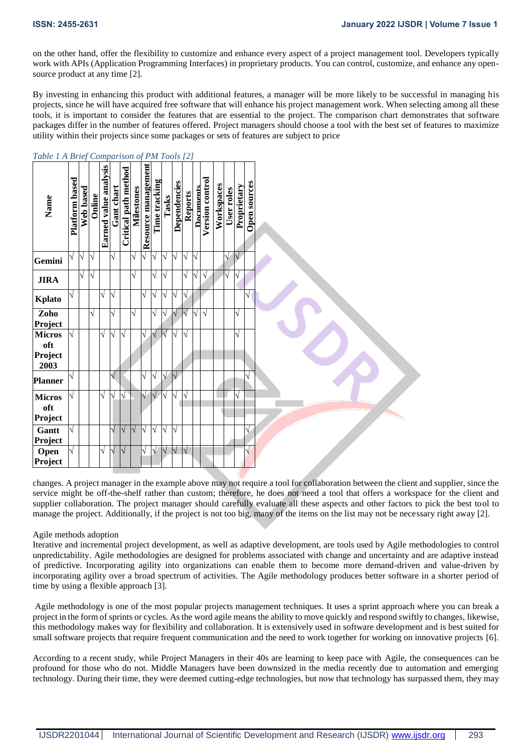on the other hand, offer the flexibility to customize and enhance every aspect of a project management tool. Developers typically work with APIs (Application Programming Interfaces) in proprietary products. You can control, customize, and enhance any opensource product at any time [2].

By investing in enhancing this product with additional features, a manager will be more likely to be successful in managing his projects, since he will have acquired free software that will enhance his project management work. When selecting among all these tools, it is important to consider the features that are essential to the project. The comparison chart demonstrates that software packages differ in the number of features offered. Project managers should choose a tool with the best set of features to maximize utility within their projects since some packages or sets of features are subject to price

| Name                 | Platform based | Web based | Online | Earned value analysis | Gant chart | <b>Critical path method</b> | <b>Milestones</b> | Resource management | Time tracking | Tasks     | Dependencies            | <b>Reports</b> | Documents | Version control | Workspaces | User roles        | Proprietary | <b>Open sources</b> |
|----------------------|----------------|-----------|--------|-----------------------|------------|-----------------------------|-------------------|---------------------|---------------|-----------|-------------------------|----------------|-----------|-----------------|------------|-------------------|-------------|---------------------|
| Gemini               | V              | $\sqrt{}$ | V      |                       | $\sqrt{}$  |                             | V                 | V                   | $\sqrt{}$     | $\sqrt{}$ | V                       | $\sqrt{}$      | N         |                 |            | $\sqrt{}$         | $\sqrt{}$   |                     |
| <b>JIRA</b>          |                | $\sqrt{}$ | N      |                       |            |                             | $\sqrt{}$         |                     | N             | N         |                         | N              | V         | $\sqrt{}$       |            | $\overline{\vee}$ | N           |                     |
| Kplato               | V              |           |        | N                     | N          |                             |                   | V                   | V             | V         | V                       | $\sqrt{}$      |           |                 |            |                   |             | V                   |
| Zoho<br>Project      |                |           | V      |                       | V          |                             | V                 |                     | V             | V         | V                       | $\sqrt{}$      | V         | $\sqrt{}$       |            |                   | $\sqrt{}$   |                     |
| <b>Micros</b><br>oft | V              |           |        | V                     | N          | N                           |                   | $\sqrt{}$           | $\sqrt{}$     | $\sqrt{}$ | N                       | N              |           |                 |            |                   | $\sqrt{}$   |                     |
| Project<br>2003      |                |           |        |                       |            |                             |                   |                     |               |           |                         |                |           |                 |            |                   |             |                     |
| <b>Planner</b>       | V              |           |        |                       | $\sqrt{}$  |                             |                   | $\sqrt{}$           | $\sqrt{}$     | $\sqrt{}$ | $\sqrt{}$               |                |           |                 |            |                   |             | V                   |
| <b>Micros</b><br>oft | N              |           |        | N                     | Ń          | Ń                           |                   | N                   | $\sqrt{}$     | $\sqrt{}$ | N                       | $\sqrt{}$      |           |                 |            |                   | $\sqrt{}$   |                     |
| Project              |                |           |        |                       |            |                             |                   |                     |               |           |                         |                |           |                 |            |                   |             |                     |
| Gantt<br>Project     | V              |           |        |                       |            | $\sqrt{}$                   | $\sqrt{}$         | N                   | $\sqrt{}$     | $\sqrt{}$ | N                       |                |           |                 |            |                   |             | V                   |
| Open<br>Project      | V              |           |        | V                     | V          | IV                          |                   | $\sqrt{}$           | $\sqrt{}$     | $\sqrt{}$ | $\overline{\mathsf{V}}$ | $\sqrt{ }$     |           |                 |            |                   |             | $\sqrt{}$           |

*Table 1 A Brief Comparison of PM Tools [2]*

changes. A project manager in the example above may not require a tool for collaboration between the client and supplier, since the service might be off-the-shelf rather than custom; therefore, he does not need a tool that offers a workspace for the client and supplier collaboration. The project manager should carefully evaluate all these aspects and other factors to pick the best tool to manage the project. Additionally, if the project is not too big, many of the items on the list may not be necessary right away [2].

## Agile methods adoption

Iterative and incremental project development, as well as adaptive development, are tools used by Agile methodologies to control unpredictability. Agile methodologies are designed for problems associated with change and uncertainty and are adaptive instead of predictive. Incorporating agility into organizations can enable them to become more demand-driven and value-driven by incorporating agility over a broad spectrum of activities. The Agile methodology produces better software in a shorter period of time by using a flexible approach [3].

Agile methodology is one of the most popular projects management techniques. It uses a sprint approach where you can break a project in the form of sprints or cycles. As the word agile means the ability to move quickly and respond swiftly to changes, likewise, this methodology makes way for flexibility and collaboration. It is extensively used in software development and is best suited for small software projects that require frequent communication and the need to work together for working on innovative projects [6].

According to a recent study, while Project Managers in their 40s are learning to keep pace with Agile, the consequences can be profound for those who do not. Middle Managers have been downsized in the media recently due to automation and emerging technology. During their time, they were deemed cutting-edge technologies, but now that technology has surpassed them, they may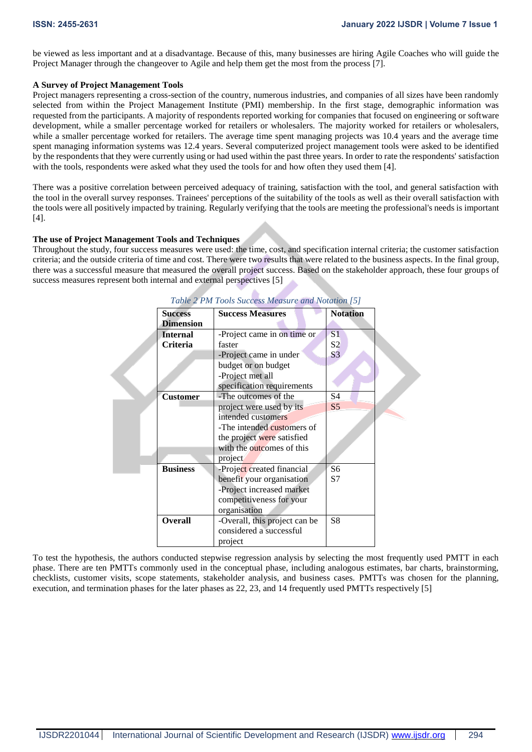be viewed as less important and at a disadvantage. Because of this, many businesses are hiring Agile Coaches who will guide the Project Manager through the changeover to Agile and help them get the most from the process [7].

#### **A Survey of Project Management Tools**

Project managers representing a cross-section of the country, numerous industries, and companies of all sizes have been randomly selected from within the Project Management Institute (PMI) membership. In the first stage, demographic information was requested from the participants. A majority of respondents reported working for companies that focused on engineering or software development, while a smaller percentage worked for retailers or wholesalers. The majority worked for retailers or wholesalers, while a smaller percentage worked for retailers. The average time spent managing projects was 10.4 years and the average time spent managing information systems was 12.4 years. Several computerized project management tools were asked to be identified by the respondents that they were currently using or had used within the past three years. In order to rate the respondents' satisfaction with the tools, respondents were asked what they used the tools for and how often they used them [4].

There was a positive correlation between perceived adequacy of training, satisfaction with the tool, and general satisfaction with the tool in the overall survey responses. Trainees' perceptions of the suitability of the tools as well as their overall satisfaction with the tools were all positively impacted by training. Regularly verifying that the tools are meeting the professional's needs is important [4].

#### **The use of Project Management Tools and Techniques**

Throughout the study, four success measures were used: the time, cost, and specification internal criteria; the customer satisfaction criteria; and the outside criteria of time and cost. There were two results that were related to the business aspects. In the final group, there was a successful measure that measured the overall project success. Based on the stakeholder approach, these four groups of success measures represent both internal and external perspectives [5]

| <b>Success</b>   | <b>Success Measures</b>       | <b>Notation</b> |
|------------------|-------------------------------|-----------------|
| <b>Dimension</b> |                               |                 |
| <b>Internal</b>  | -Project came in on time or   | S <sub>1</sub>  |
| <b>Criteria</b>  | faster                        | S2              |
|                  | -Project came in under        | S <sub>3</sub>  |
|                  | budget or on budget           |                 |
|                  | -Project met all              |                 |
|                  | specification requirements    |                 |
| <b>Customer</b>  | -The outcomes of the          | S4              |
|                  | project were used by its      | S <sub>5</sub>  |
|                  | intended customers            |                 |
|                  | -The intended customers of    |                 |
|                  | the project were satisfied    |                 |
|                  | with the outcomes of this     |                 |
|                  | project                       |                 |
| <b>Business</b>  | -Project created financial    | S6              |
|                  | benefit your organisation     | S7              |
|                  | -Project increased market     |                 |
|                  | competitiveness for your      |                 |
|                  | organisation                  |                 |
| <b>Overall</b>   | -Overall, this project can be | S8              |
|                  | considered a successful       |                 |
|                  | project                       |                 |

*Table 2 PM Tools Success Measure and Notation [5]*

To test the hypothesis, the authors conducted stepwise regression analysis by selecting the most frequently used PMTT in each phase. There are ten PMTTs commonly used in the conceptual phase, including analogous estimates, bar charts, brainstorming, checklists, customer visits, scope statements, stakeholder analysis, and business cases. PMTTs was chosen for the planning, execution, and termination phases for the later phases as 22, 23, and 14 frequently used PMTTs respectively [5]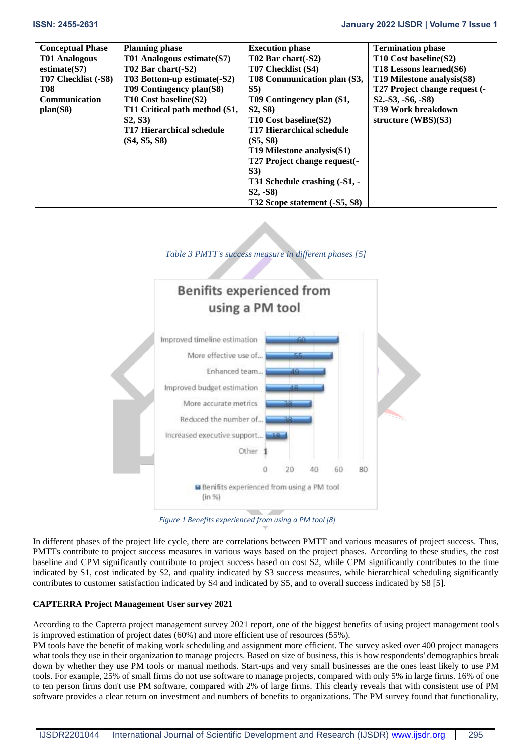| <b>Conceptual Phase</b> | <b>Planning phase</b>            | <b>Execution phase</b>        | <b>Termination phase</b>      |
|-------------------------|----------------------------------|-------------------------------|-------------------------------|
| T01 Analogous           | T01 Analogous estimate (S7)      | T02 Bar chart(-S2)            | T10 Cost baseline(S2)         |
| estimate(S7)            | $T02$ Bar chart $(-S2)$          | T07 Checklist (S4)            | T18 Lessons learned(S6)       |
| T07 Checklist (-S8)     | T03 Bottom-up estimate(-S2)      | T08 Communication plan (S3,   | T19 Milestone analysis(S8)    |
| <b>T08</b>              | T09 Contingency plan(S8)         | S5)                           | T27 Project change request (- |
| <b>Communication</b>    | T10 Cost baseline(S2)            | T09 Contingency plan (S1,     | $S2.-S3, -S6, -S8)$           |
| plan(S8)                | T11 Critical path method (S1,    | <b>S2, S8)</b>                | T39 Work breakdown            |
|                         | S2, S3                           | T10 Cost baseline(S2)         | structure $(WBS)(S3)$         |
|                         | <b>T17 Hierarchical schedule</b> | T17 Hierarchical schedule     |                               |
|                         | (S4, S5, S8)                     | (S5, S8)                      |                               |
|                         |                                  | T19 Milestone analysis(S1)    |                               |
|                         |                                  | T27 Project change request(-  |                               |
|                         |                                  | S3)                           |                               |
|                         |                                  | T31 Schedule crashing (-S1, - |                               |
|                         |                                  | $S_2$ , $-S_8$ )              |                               |
|                         |                                  | T32 Scope statement (-S5, S8) |                               |

## *Table 3 PMTT's success measure in different phases [5]*



*Figure 1 Benefits experienced from using a PM tool [8]*

In different phases of the project life cycle, there are correlations between PMTT and various measures of project success. Thus, PMTTs contribute to project success measures in various ways based on the project phases. According to these studies, the cost baseline and CPM significantly contribute to project success based on cost S2, while CPM significantly contributes to the time indicated by S1, cost indicated by S2, and quality indicated by S3 success measures, while hierarchical scheduling significantly contributes to customer satisfaction indicated by S4 and indicated by S5, and to overall success indicated by S8 [5].

## **CAPTERRA Project Management User survey 2021**

According to the Capterra project management survey 2021 report, one of the biggest benefits of using project management tools is improved estimation of project dates (60%) and more efficient use of resources (55%).

PM tools have the benefit of making work scheduling and assignment more efficient. The survey asked over 400 project managers what tools they use in their organization to manage projects. Based on size of business, this is how respondents' demographics break down by whether they use PM tools or manual methods. Start-ups and very small businesses are the ones least likely to use PM tools. For example, 25% of small firms do not use software to manage projects, compared with only 5% in large firms. 16% of one to ten person firms don't use PM software, compared with 2% of large firms. This clearly reveals that with consistent use of PM software provides a clear return on investment and numbers of benefits to organizations. The PM survey found that functionality,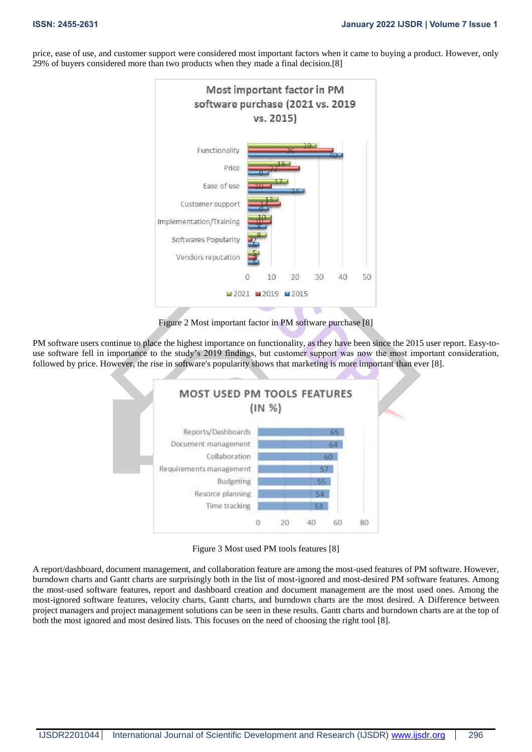price, ease of use, and customer support were considered most important factors when it came to buying a product. However, only 29% of buyers considered more than two products when they made a final decision.[8]



Figure 2 Most important factor in PM software purchase [8]

PM software users continue to place the highest importance on functionality, as they have been since the 2015 user report. Easy-touse software fell in importance to the study's 2019 findings, but customer support was now the most important consideration, followed by price. However, the rise in software's popularity shows that marketing is more important than ever [8].



Figure 3 Most used PM tools features [8]

A report/dashboard, document management, and collaboration feature are among the most-used features of PM software. However, burndown charts and Gantt charts are surprisingly both in the list of most-ignored and most-desired PM software features. Among the most-used software features, report and dashboard creation and document management are the most used ones. Among the most-ignored software features, velocity charts, Gantt charts, and burndown charts are the most desired. A Difference between project managers and project management solutions can be seen in these results. Gantt charts and burndown charts are at the top of both the most ignored and most desired lists. This focuses on the need of choosing the right tool [8].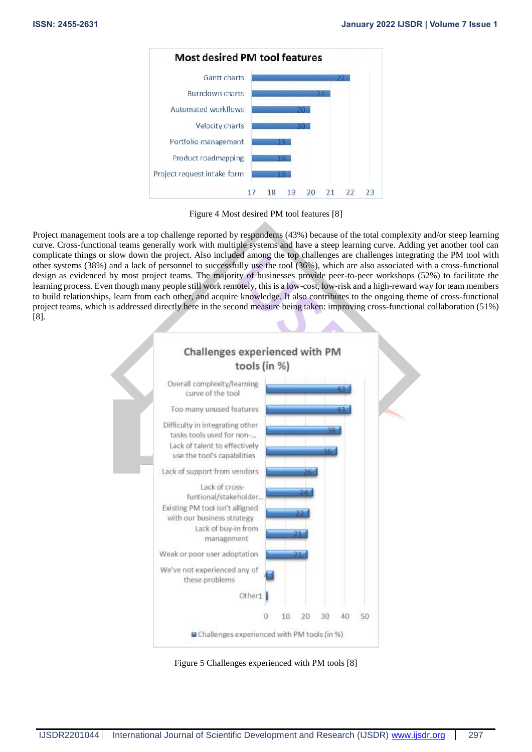

Figure 4 Most desired PM tool features [8]

Project management tools are a top challenge reported by respondents (43%) because of the total complexity and/or steep learning curve. Cross-functional teams generally work with multiple systems and have a steep learning curve. Adding yet another tool can complicate things or slow down the project. Also included among the top challenges are challenges integrating the PM tool with other systems (38%) and a lack of personnel to successfully use the tool (36%), which are also associated with a cross-functional design as evidenced by most project teams. The majority of businesses provide peer-to-peer workshops (52%) to facilitate the learning process. Even though many people still work remotely, this is a low-cost, low-risk and a high-reward way for team members to build relationships, learn from each other, and acquire knowledge. It also contributes to the ongoing theme of cross-functional project teams, which is addressed directly here in the second measure being taken: improving cross-functional collaboration (51%) [8].



Figure 5 Challenges experienced with PM tools [8]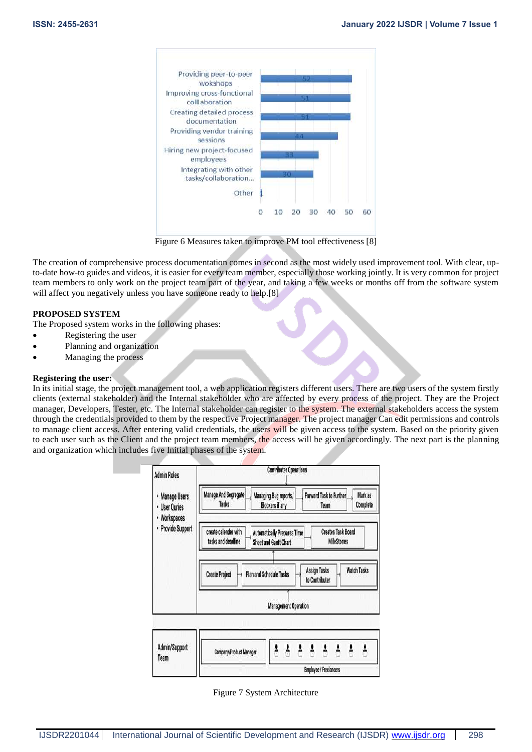

Figure 6 Measures taken to improve PM tool effectiveness [8]

The creation of comprehensive process documentation comes in second as the most widely used improvement tool. With clear, upto-date how-to guides and videos, it is easier for every team member, especially those working jointly. It is very common for project team members to only work on the project team part of the year, and taking a few weeks or months off from the software system will affect you negatively unless you have someone ready to help.[8]

#### **PROPOSED SYSTEM**

The Proposed system works in the following phases:

- Registering the user
- Planning and organization
- Managing the process

#### **Registering the user:**

In its initial stage, the project management tool, a web application registers different users. There are two users of the system firstly clients (external stakeholder) and the Internal stakeholder who are affected by every process of the project. They are the Project manager, Developers, Tester, etc. The Internal stakeholder can register to the system. The external stakeholders access the system through the credentials provided to them by the respective Project manager. The project manager Can edit permissions and controls to manage client access. After entering valid credentials, the users will be given access to the system. Based on the priority given to each user such as the Client and the project team members, the access will be given accordingly. The next part is the planning and organization which includes five Initial phases of the system.



Figure 7 System Architecture